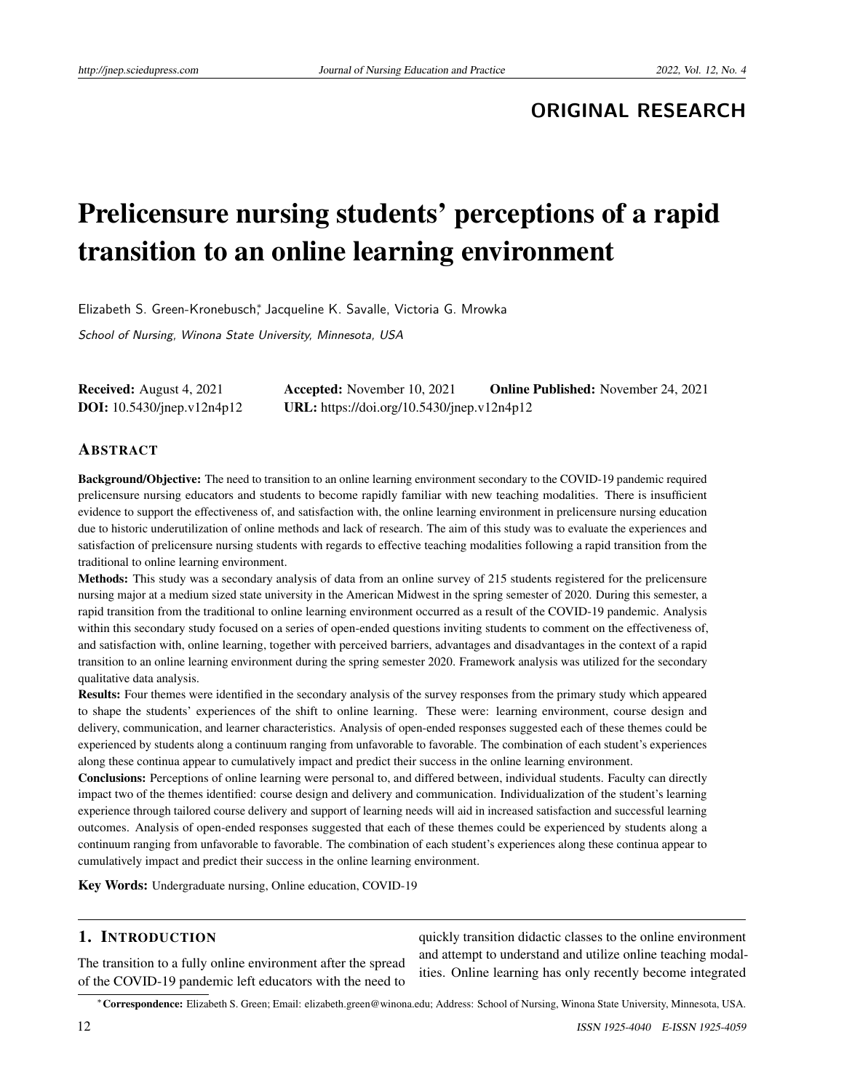# **ORIGINAL RESEARCH**

# Prelicensure nursing students' perceptions of a rapid transition to an online learning environment

Elizabeth S. Green-Kronebusch<sup>∗</sup> , Jacqueline K. Savalle, Victoria G. Mrowka

School of Nursing, Winona State University, Minnesota, USA

| <b>Received:</b> August 4, 2021      | <b>Accepted:</b> November 10, 2021         | <b>Online Published:</b> November 24, 2021 |
|--------------------------------------|--------------------------------------------|--------------------------------------------|
| <b>DOI:</b> $10.5430$ /jnep.v12n4p12 | URL: https://doi.org/10.5430/jnep.v12n4p12 |                                            |

# ABSTRACT

Background/Objective: The need to transition to an online learning environment secondary to the COVID-19 pandemic required prelicensure nursing educators and students to become rapidly familiar with new teaching modalities. There is insufficient evidence to support the effectiveness of, and satisfaction with, the online learning environment in prelicensure nursing education due to historic underutilization of online methods and lack of research. The aim of this study was to evaluate the experiences and satisfaction of prelicensure nursing students with regards to effective teaching modalities following a rapid transition from the traditional to online learning environment.

Methods: This study was a secondary analysis of data from an online survey of 215 students registered for the prelicensure nursing major at a medium sized state university in the American Midwest in the spring semester of 2020. During this semester, a rapid transition from the traditional to online learning environment occurred as a result of the COVID-19 pandemic. Analysis within this secondary study focused on a series of open-ended questions inviting students to comment on the effectiveness of, and satisfaction with, online learning, together with perceived barriers, advantages and disadvantages in the context of a rapid transition to an online learning environment during the spring semester 2020. Framework analysis was utilized for the secondary qualitative data analysis.

Results: Four themes were identified in the secondary analysis of the survey responses from the primary study which appeared to shape the students' experiences of the shift to online learning. These were: learning environment, course design and delivery, communication, and learner characteristics. Analysis of open-ended responses suggested each of these themes could be experienced by students along a continuum ranging from unfavorable to favorable. The combination of each student's experiences along these continua appear to cumulatively impact and predict their success in the online learning environment.

Conclusions: Perceptions of online learning were personal to, and differed between, individual students. Faculty can directly impact two of the themes identified: course design and delivery and communication. Individualization of the student's learning experience through tailored course delivery and support of learning needs will aid in increased satisfaction and successful learning outcomes. Analysis of open-ended responses suggested that each of these themes could be experienced by students along a continuum ranging from unfavorable to favorable. The combination of each student's experiences along these continua appear to cumulatively impact and predict their success in the online learning environment.

Key Words: Undergraduate nursing, Online education, COVID-19

# 1. INTRODUCTION

The transition to a fully online environment after the spread of the COVID-19 pandemic left educators with the need to quickly transition didactic classes to the online environment and attempt to understand and utilize online teaching modalities. Online learning has only recently become integrated

<sup>∗</sup>Correspondence: Elizabeth S. Green; Email: elizabeth.green@winona.edu; Address: School of Nursing, Winona State University, Minnesota, USA.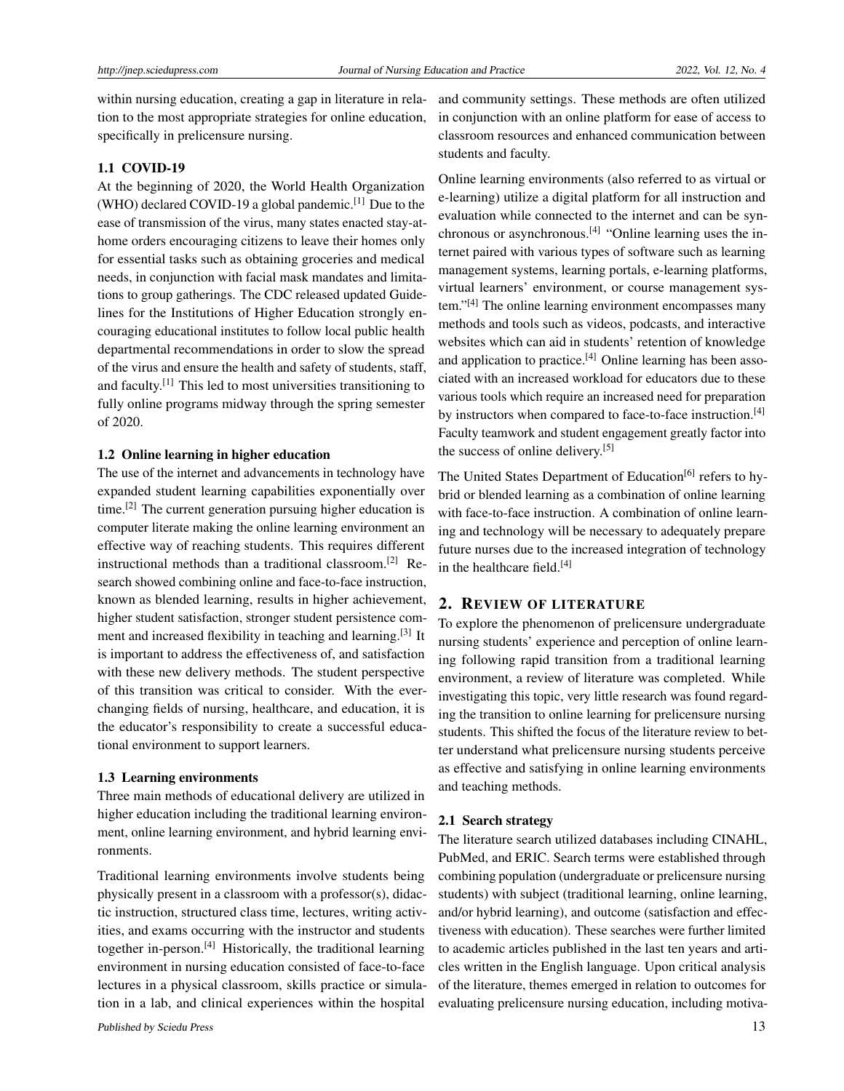within nursing education, creating a gap in literature in relation to the most appropriate strategies for online education, specifically in prelicensure nursing.

# 1.1 COVID-19

At the beginning of 2020, the World Health Organization (WHO) declared COVID-19 a global pandemic.[\[1\]](#page-7-0) Due to the ease of transmission of the virus, many states enacted stay-athome orders encouraging citizens to leave their homes only for essential tasks such as obtaining groceries and medical needs, in conjunction with facial mask mandates and limitations to group gatherings. The CDC released updated Guidelines for the Institutions of Higher Education strongly encouraging educational institutes to follow local public health departmental recommendations in order to slow the spread of the virus and ensure the health and safety of students, staff, and faculty.[\[1\]](#page-7-0) This led to most universities transitioning to fully online programs midway through the spring semester of 2020.

# 1.2 Online learning in higher education

The use of the internet and advancements in technology have expanded student learning capabilities exponentially over time.<sup>[\[2\]](#page-7-1)</sup> The current generation pursuing higher education is computer literate making the online learning environment an effective way of reaching students. This requires different instructional methods than a traditional classroom.[\[2\]](#page-7-1) Research showed combining online and face-to-face instruction, known as blended learning, results in higher achievement, higher student satisfaction, stronger student persistence com-ment and increased flexibility in teaching and learning.<sup>[\[3\]](#page-7-2)</sup> It is important to address the effectiveness of, and satisfaction with these new delivery methods. The student perspective of this transition was critical to consider. With the everchanging fields of nursing, healthcare, and education, it is the educator's responsibility to create a successful educational environment to support learners.

#### 1.3 Learning environments

Three main methods of educational delivery are utilized in higher education including the traditional learning environment, online learning environment, and hybrid learning environments.

Traditional learning environments involve students being physically present in a classroom with a professor(s), didactic instruction, structured class time, lectures, writing activities, and exams occurring with the instructor and students together in-person.[\[4\]](#page-7-3) Historically, the traditional learning environment in nursing education consisted of face-to-face lectures in a physical classroom, skills practice or simulation in a lab, and clinical experiences within the hospital

and community settings. These methods are often utilized in conjunction with an online platform for ease of access to classroom resources and enhanced communication between students and faculty.

Online learning environments (also referred to as virtual or e-learning) utilize a digital platform for all instruction and evaluation while connected to the internet and can be syn-chronous or asynchronous.<sup>[\[4\]](#page-7-3)</sup> "Online learning uses the internet paired with various types of software such as learning management systems, learning portals, e-learning platforms, virtual learners' environment, or course management sys-tem."<sup>[\[4\]](#page-7-3)</sup> The online learning environment encompasses many methods and tools such as videos, podcasts, and interactive websites which can aid in students' retention of knowledge and application to practice. $[4]$  Online learning has been associated with an increased workload for educators due to these various tools which require an increased need for preparation by instructors when compared to face-to-face instruction.<sup>[\[4\]](#page-7-3)</sup> Faculty teamwork and student engagement greatly factor into the success of online delivery.[\[5\]](#page-7-4)

The United States Department of Education<sup>[\[6\]](#page-7-5)</sup> refers to hybrid or blended learning as a combination of online learning with face-to-face instruction. A combination of online learning and technology will be necessary to adequately prepare future nurses due to the increased integration of technology in the healthcare field.<sup>[\[4\]](#page-7-3)</sup>

### 2. REVIEW OF LITERATURE

To explore the phenomenon of prelicensure undergraduate nursing students' experience and perception of online learning following rapid transition from a traditional learning environment, a review of literature was completed. While investigating this topic, very little research was found regarding the transition to online learning for prelicensure nursing students. This shifted the focus of the literature review to better understand what prelicensure nursing students perceive as effective and satisfying in online learning environments and teaching methods.

### 2.1 Search strategy

The literature search utilized databases including CINAHL, PubMed, and ERIC. Search terms were established through combining population (undergraduate or prelicensure nursing students) with subject (traditional learning, online learning, and/or hybrid learning), and outcome (satisfaction and effectiveness with education). These searches were further limited to academic articles published in the last ten years and articles written in the English language. Upon critical analysis of the literature, themes emerged in relation to outcomes for evaluating prelicensure nursing education, including motiva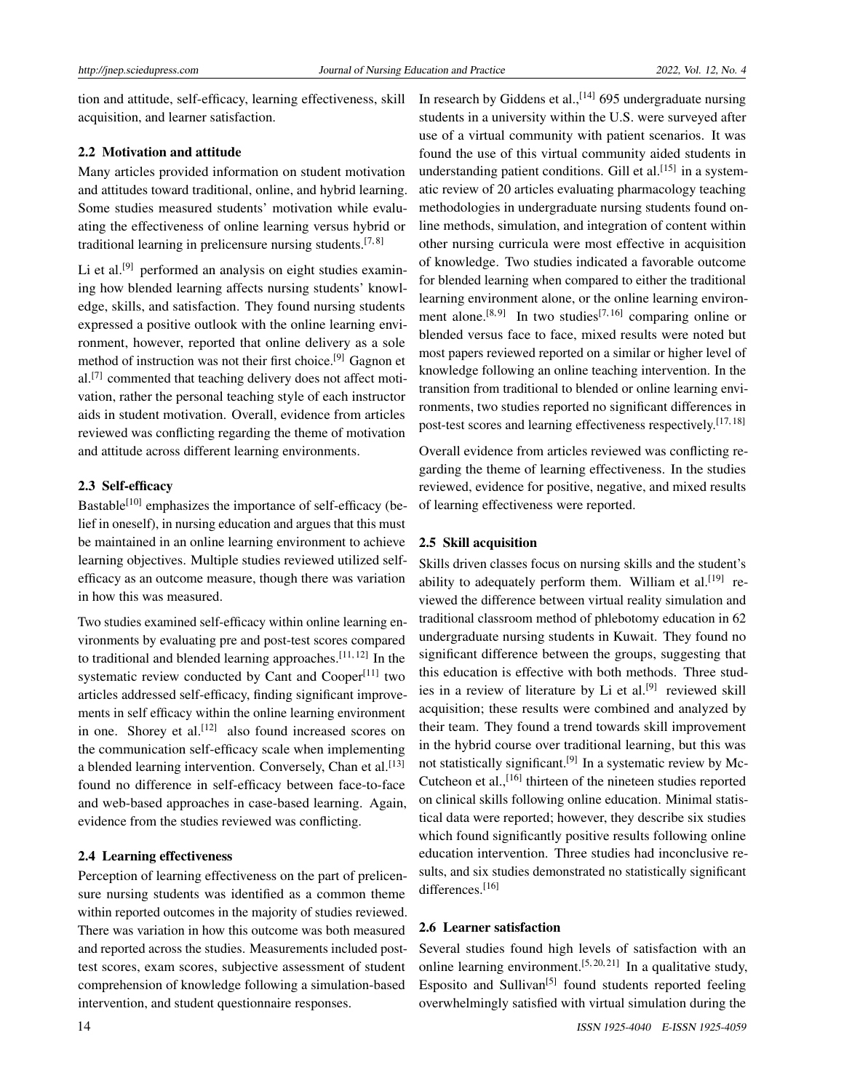tion and attitude, self-efficacy, learning effectiveness, skill acquisition, and learner satisfaction.

### 2.2 Motivation and attitude

Many articles provided information on student motivation and attitudes toward traditional, online, and hybrid learning. Some studies measured students' motivation while evaluating the effectiveness of online learning versus hybrid or traditional learning in prelicensure nursing students.<sup>[\[7,](#page-7-6)[8\]](#page-7-7)</sup>

Li et al.<sup>[\[9\]](#page-7-8)</sup> performed an analysis on eight studies examining how blended learning affects nursing students' knowledge, skills, and satisfaction. They found nursing students expressed a positive outlook with the online learning environment, however, reported that online delivery as a sole method of instruction was not their first choice.<sup>[\[9\]](#page-7-8)</sup> Gagnon et al.<sup>[\[7\]](#page-7-6)</sup> commented that teaching delivery does not affect motivation, rather the personal teaching style of each instructor aids in student motivation. Overall, evidence from articles reviewed was conflicting regarding the theme of motivation and attitude across different learning environments.

# 2.3 Self-efficacy

Bastable<sup>[\[10\]](#page-7-9)</sup> emphasizes the importance of self-efficacy (belief in oneself), in nursing education and argues that this must be maintained in an online learning environment to achieve learning objectives. Multiple studies reviewed utilized selfefficacy as an outcome measure, though there was variation in how this was measured.

Two studies examined self-efficacy within online learning environments by evaluating pre and post-test scores compared to traditional and blended learning approaches.<sup>[\[11,](#page-7-10)[12\]](#page-7-11)</sup> In the systematic review conducted by Cant and Cooper<sup>[\[11\]](#page-7-10)</sup> two articles addressed self-efficacy, finding significant improvements in self efficacy within the online learning environment in one. Shorey et al.<sup>[\[12\]](#page-7-11)</sup> also found increased scores on the communication self-efficacy scale when implementing a blended learning intervention. Conversely, Chan et al.<sup>[\[13\]](#page-7-12)</sup> found no difference in self-efficacy between face-to-face and web-based approaches in case-based learning. Again, evidence from the studies reviewed was conflicting.

### 2.4 Learning effectiveness

Perception of learning effectiveness on the part of prelicensure nursing students was identified as a common theme within reported outcomes in the majority of studies reviewed. There was variation in how this outcome was both measured and reported across the studies. Measurements included posttest scores, exam scores, subjective assessment of student comprehension of knowledge following a simulation-based intervention, and student questionnaire responses.

In research by Giddens et al.,<sup>[\[14\]](#page-7-13)</sup> 695 undergraduate nursing students in a university within the U.S. were surveyed after use of a virtual community with patient scenarios. It was found the use of this virtual community aided students in understanding patient conditions. Gill et al.<sup>[\[15\]](#page-7-14)</sup> in a systematic review of 20 articles evaluating pharmacology teaching methodologies in undergraduate nursing students found online methods, simulation, and integration of content within other nursing curricula were most effective in acquisition of knowledge. Two studies indicated a favorable outcome for blended learning when compared to either the traditional learning environment alone, or the online learning environ-ment alone.<sup>[\[8,](#page-7-7)[9\]](#page-7-8)</sup> In two studies<sup>[\[7,](#page-7-6)[16\]](#page-7-15)</sup> comparing online or blended versus face to face, mixed results were noted but most papers reviewed reported on a similar or higher level of knowledge following an online teaching intervention. In the transition from traditional to blended or online learning environments, two studies reported no significant differences in post-test scores and learning effectiveness respectively.<sup>[\[17,](#page-7-16) [18\]](#page-7-17)</sup>

Overall evidence from articles reviewed was conflicting regarding the theme of learning effectiveness. In the studies reviewed, evidence for positive, negative, and mixed results of learning effectiveness were reported.

### 2.5 Skill acquisition

Skills driven classes focus on nursing skills and the student's ability to adequately perform them. William et al.<sup>[\[19\]](#page-7-18)</sup> reviewed the difference between virtual reality simulation and traditional classroom method of phlebotomy education in 62 undergraduate nursing students in Kuwait. They found no significant difference between the groups, suggesting that this education is effective with both methods. Three stud-ies in a review of literature by Li et al.<sup>[\[9\]](#page-7-8)</sup> reviewed skill acquisition; these results were combined and analyzed by their team. They found a trend towards skill improvement in the hybrid course over traditional learning, but this was not statistically significant.<sup>[\[9\]](#page-7-8)</sup> In a systematic review by Mc-Cutcheon et al.,<sup>[\[16\]](#page-7-15)</sup> thirteen of the nineteen studies reported on clinical skills following online education. Minimal statistical data were reported; however, they describe six studies which found significantly positive results following online education intervention. Three studies had inconclusive results, and six studies demonstrated no statistically significant differences.<sup>[\[16\]](#page-7-15)</sup>

### 2.6 Learner satisfaction

Several studies found high levels of satisfaction with an online learning environment.<sup>[\[5,](#page-7-4)[20,](#page-7-19)[21\]](#page-7-20)</sup> In a qualitative study, Esposito and Sullivan<sup>[\[5\]](#page-7-4)</sup> found students reported feeling overwhelmingly satisfied with virtual simulation during the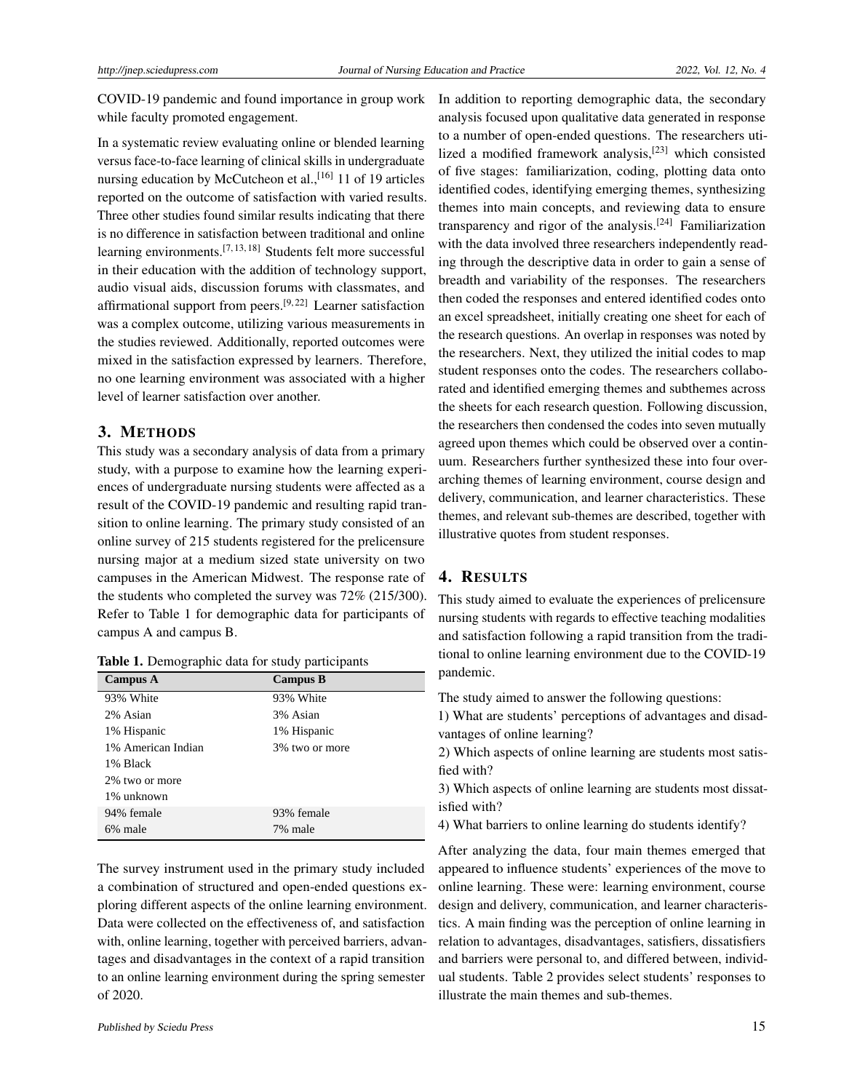COVID-19 pandemic and found importance in group work while faculty promoted engagement.

In a systematic review evaluating online or blended learning versus face-to-face learning of clinical skills in undergraduate nursing education by McCutcheon et al.,  $[16]$  11 of 19 articles reported on the outcome of satisfaction with varied results. Three other studies found similar results indicating that there is no difference in satisfaction between traditional and online learning environments.[\[7,](#page-7-6) [13,](#page-7-12) [18\]](#page-7-17) Students felt more successful in their education with the addition of technology support, audio visual aids, discussion forums with classmates, and affirmational support from peers.<sup>[\[9,](#page-7-8)[22\]](#page-7-21)</sup> Learner satisfaction was a complex outcome, utilizing various measurements in the studies reviewed. Additionally, reported outcomes were mixed in the satisfaction expressed by learners. Therefore, no one learning environment was associated with a higher level of learner satisfaction over another.

# 3. METHODS

This study was a secondary analysis of data from a primary study, with a purpose to examine how the learning experiences of undergraduate nursing students were affected as a result of the COVID-19 pandemic and resulting rapid transition to online learning. The primary study consisted of an online survey of 215 students registered for the prelicensure nursing major at a medium sized state university on two campuses in the American Midwest. The response rate of the students who completed the survey was 72% (215/300). Refer to Table 1 for demographic data for participants of campus A and campus B.

Table 1. Demographic data for study participants

| <b>Campus A</b>    | <b>Campus B</b> |
|--------------------|-----------------|
| 93% White          | 93% White       |
| 2% Asian           | 3% Asian        |
| 1% Hispanic        | 1% Hispanic     |
| 1% American Indian | 3% two or more  |
| 1% Black           |                 |
| 2\% two or more    |                 |
| 1% unknown         |                 |
| 94% female         | 93% female      |
| 6% male            | 7% male         |

The survey instrument used in the primary study included a combination of structured and open-ended questions exploring different aspects of the online learning environment. Data were collected on the effectiveness of, and satisfaction with, online learning, together with perceived barriers, advantages and disadvantages in the context of a rapid transition to an online learning environment during the spring semester of 2020.

In addition to reporting demographic data, the secondary analysis focused upon qualitative data generated in response to a number of open-ended questions. The researchers utilized a modified framework analysis,[\[23\]](#page-7-22) which consisted of five stages: familiarization, coding, plotting data onto identified codes, identifying emerging themes, synthesizing themes into main concepts, and reviewing data to ensure transparency and rigor of the analysis.[\[24\]](#page-7-23) Familiarization with the data involved three researchers independently reading through the descriptive data in order to gain a sense of breadth and variability of the responses. The researchers then coded the responses and entered identified codes onto an excel spreadsheet, initially creating one sheet for each of the research questions. An overlap in responses was noted by the researchers. Next, they utilized the initial codes to map student responses onto the codes. The researchers collaborated and identified emerging themes and subthemes across the sheets for each research question. Following discussion, the researchers then condensed the codes into seven mutually agreed upon themes which could be observed over a continuum. Researchers further synthesized these into four overarching themes of learning environment, course design and delivery, communication, and learner characteristics. These themes, and relevant sub-themes are described, together with illustrative quotes from student responses.

# 4. RESULTS

This study aimed to evaluate the experiences of prelicensure nursing students with regards to effective teaching modalities and satisfaction following a rapid transition from the traditional to online learning environment due to the COVID-19 pandemic.

The study aimed to answer the following questions:

1) What are students' perceptions of advantages and disadvantages of online learning?

2) Which aspects of online learning are students most satisfied with?

3) Which aspects of online learning are students most dissatisfied with?

4) What barriers to online learning do students identify?

After analyzing the data, four main themes emerged that appeared to influence students' experiences of the move to online learning. These were: learning environment, course design and delivery, communication, and learner characteristics. A main finding was the perception of online learning in relation to advantages, disadvantages, satisfiers, dissatisfiers and barriers were personal to, and differed between, individual students. Table 2 provides select students' responses to illustrate the main themes and sub-themes.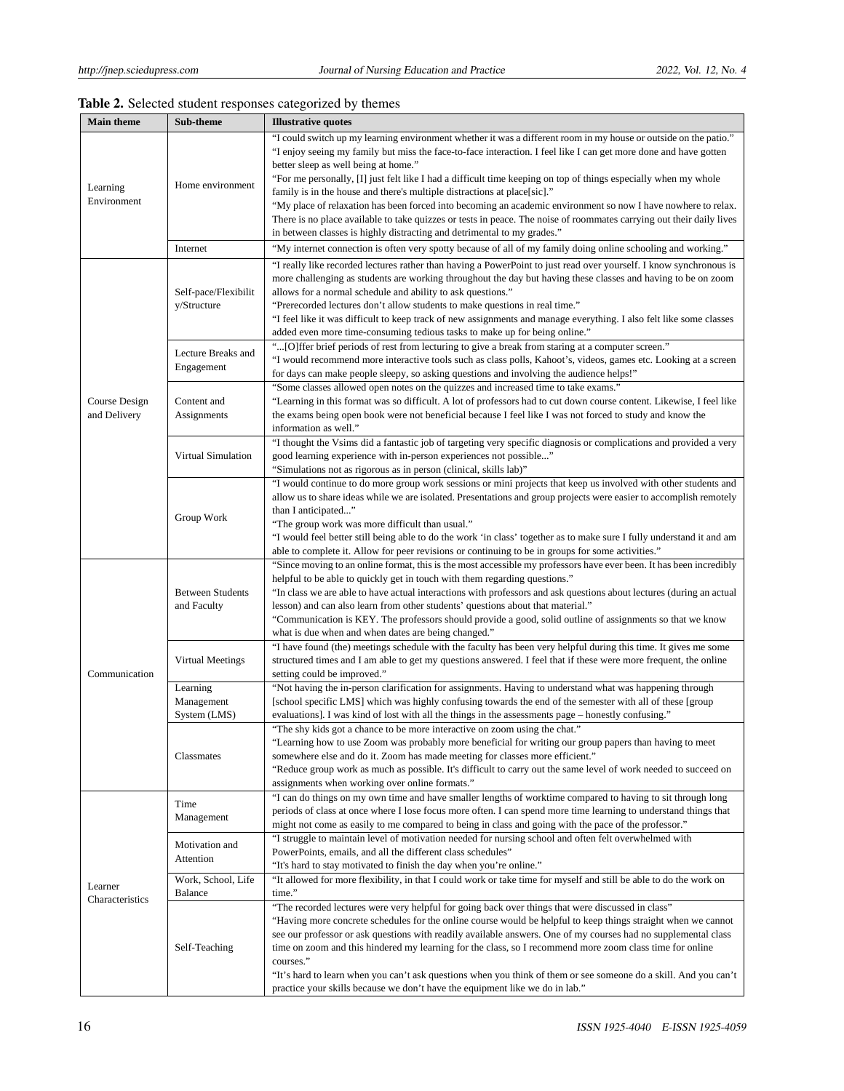| <b>Main theme</b>          | Sub-theme                              | <b>Illustrative quotes</b>                                                                                            |  |
|----------------------------|----------------------------------------|-----------------------------------------------------------------------------------------------------------------------|--|
|                            |                                        | "I could switch up my learning environment whether it was a different room in my house or outside on the patio."      |  |
|                            |                                        | "I enjoy seeing my family but miss the face-to-face interaction. I feel like I can get more done and have gotten      |  |
|                            |                                        | better sleep as well being at home."                                                                                  |  |
|                            |                                        | "For me personally, [I] just felt like I had a difficult time keeping on top of things especially when my whole       |  |
| Learning<br>Environment    | Home environment                       | family is in the house and there's multiple distractions at place[sic]."                                              |  |
|                            |                                        | "My place of relaxation has been forced into becoming an academic environment so now I have nowhere to relax.         |  |
|                            |                                        | There is no place available to take quizzes or tests in peace. The noise of roommates carrying out their daily lives  |  |
|                            |                                        | in between classes is highly distracting and detrimental to my grades."                                               |  |
|                            | Internet                               |                                                                                                                       |  |
|                            |                                        | "My internet connection is often very spotty because of all of my family doing online schooling and working."         |  |
|                            |                                        | "I really like recorded lectures rather than having a PowerPoint to just read over yourself. I know synchronous is    |  |
|                            |                                        | more challenging as students are working throughout the day but having these classes and having to be on zoom         |  |
|                            | Self-pace/Flexibilit<br>y/Structure    | allows for a normal schedule and ability to ask questions."                                                           |  |
|                            |                                        | "Prerecorded lectures don't allow students to make questions in real time."                                           |  |
|                            |                                        | "I feel like it was difficult to keep track of new assignments and manage everything. I also felt like some classes   |  |
|                            |                                        | added even more time-consuming tedious tasks to make up for being online."                                            |  |
|                            | Lecture Breaks and<br>Engagement       | "[O]ffer brief periods of rest from lecturing to give a break from staring at a computer screen."                     |  |
|                            |                                        | "I would recommend more interactive tools such as class polls, Kahoot's, videos, games etc. Looking at a screen       |  |
|                            |                                        | for days can make people sleepy, so asking questions and involving the audience helps!"                               |  |
|                            | Content and<br>Assignments             | "Some classes allowed open notes on the quizzes and increased time to take exams."                                    |  |
| Course Design              |                                        | "Learning in this format was so difficult. A lot of professors had to cut down course content. Likewise, I feel like  |  |
| and Delivery               |                                        | the exams being open book were not beneficial because I feel like I was not forced to study and know the              |  |
|                            |                                        | information as well."                                                                                                 |  |
|                            |                                        | "I thought the Vsims did a fantastic job of targeting very specific diagnosis or complications and provided a very    |  |
|                            | Virtual Simulation                     | good learning experience with in-person experiences not possible"                                                     |  |
|                            |                                        | "Simulations not as rigorous as in person (clinical, skills lab)"                                                     |  |
|                            |                                        | "I would continue to do more group work sessions or mini projects that keep us involved with other students and       |  |
|                            | Group Work                             | allow us to share ideas while we are isolated. Presentations and group projects were easier to accomplish remotely    |  |
|                            |                                        | than I anticipated"                                                                                                   |  |
|                            |                                        | "The group work was more difficult than usual."                                                                       |  |
|                            |                                        | "I would feel better still being able to do the work 'in class' together as to make sure I fully understand it and am |  |
|                            |                                        | able to complete it. Allow for peer revisions or continuing to be in groups for some activities."                     |  |
|                            | <b>Between Students</b><br>and Faculty | "Since moving to an online format, this is the most accessible my professors have ever been. It has been incredibly   |  |
|                            |                                        | helpful to be able to quickly get in touch with them regarding questions."                                            |  |
|                            |                                        | "In class we are able to have actual interactions with professors and ask questions about lectures (during an actual  |  |
|                            |                                        | lesson) and can also learn from other students' questions about that material."                                       |  |
|                            |                                        | "Communication is KEY. The professors should provide a good, solid outline of assignments so that we know             |  |
|                            |                                        | what is due when and when dates are being changed."                                                                   |  |
|                            | Virtual Meetings                       | "I have found (the) meetings schedule with the faculty has been very helpful during this time. It gives me some       |  |
|                            |                                        | structured times and I am able to get my questions answered. I feel that if these were more frequent, the online      |  |
| Communication              |                                        | setting could be improved."                                                                                           |  |
|                            | Learning                               | "Not having the in-person clarification for assignments. Having to understand what was happening through              |  |
|                            |                                        | [school specific LMS] which was highly confusing towards the end of the semester with all of these [group]            |  |
|                            | Management                             | evaluations]. I was kind of lost with all the things in the assessments page – honestly confusing."                   |  |
|                            | System (LMS)                           |                                                                                                                       |  |
|                            | Classmates                             | "The shy kids got a chance to be more interactive on zoom using the chat."                                            |  |
|                            |                                        | "Learning how to use Zoom was probably more beneficial for writing our group papers than having to meet               |  |
|                            |                                        | somewhere else and do it. Zoom has made meeting for classes more efficient."                                          |  |
|                            |                                        | "Reduce group work as much as possible. It's difficult to carry out the same level of work needed to succeed on       |  |
|                            |                                        | assignments when working over online formats."                                                                        |  |
|                            | Time<br>Management                     | "I can do things on my own time and have smaller lengths of worktime compared to having to sit through long           |  |
|                            |                                        | periods of class at once where I lose focus more often. I can spend more time learning to understand things that      |  |
|                            |                                        | might not come as easily to me compared to being in class and going with the pace of the professor."                  |  |
|                            | Motivation and<br>Attention            | "I struggle to maintain level of motivation needed for nursing school and often felt overwhelmed with                 |  |
|                            |                                        | PowerPoints, emails, and all the different class schedules"                                                           |  |
| Learner<br>Characteristics |                                        | "It's hard to stay motivated to finish the day when you're online."                                                   |  |
|                            | Work, School, Life                     | "It allowed for more flexibility, in that I could work or take time for myself and still be able to do the work on    |  |
|                            | Balance                                | time."                                                                                                                |  |
|                            | Self-Teaching                          | "The recorded lectures were very helpful for going back over things that were discussed in class"                     |  |
|                            |                                        | "Having more concrete schedules for the online course would be helpful to keep things straight when we cannot         |  |
|                            |                                        | see our professor or ask questions with readily available answers. One of my courses had no supplemental class        |  |
|                            |                                        | time on zoom and this hindered my learning for the class, so I recommend more zoom class time for online              |  |
|                            |                                        | courses."                                                                                                             |  |
|                            |                                        | "It's hard to learn when you can't ask questions when you think of them or see someone do a skill. And you can't      |  |
|                            |                                        | practice your skills because we don't have the equipment like we do in lab."                                          |  |

# Table 2. Selected student responses categorized by themes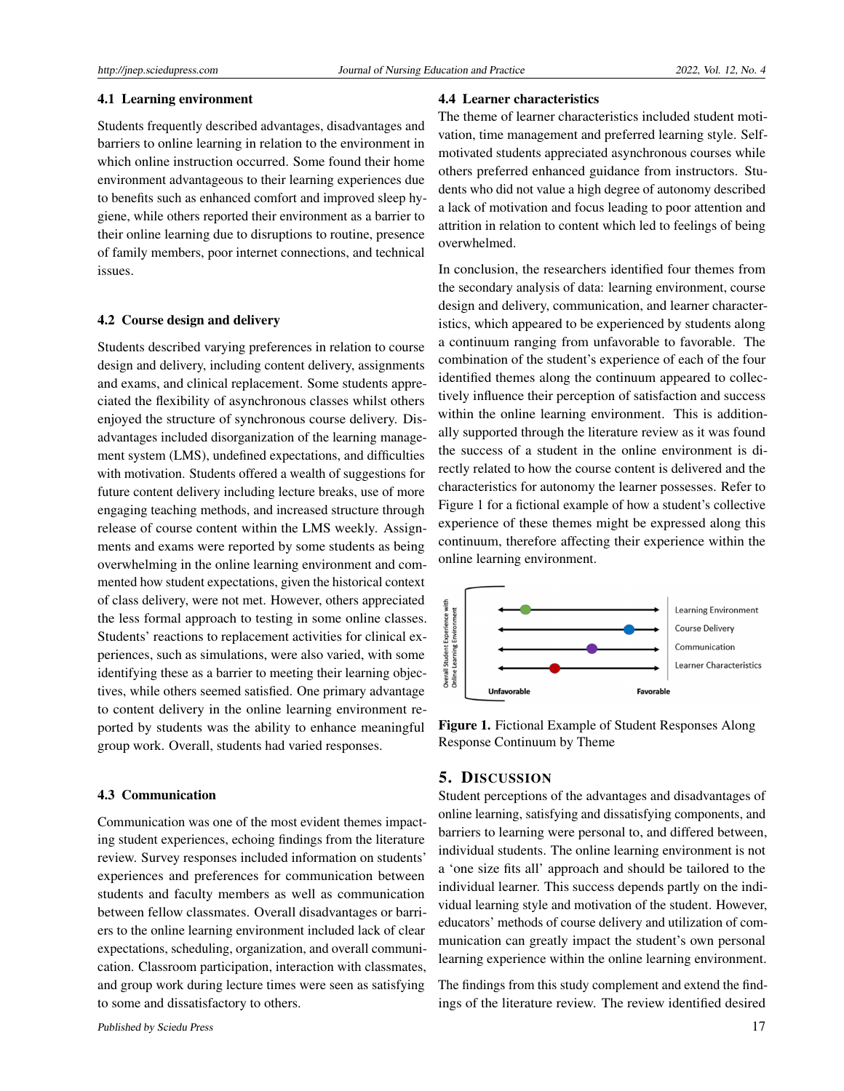# 4.1 Learning environment

Students frequently described advantages, disadvantages and barriers to online learning in relation to the environment in which online instruction occurred. Some found their home environment advantageous to their learning experiences due to benefits such as enhanced comfort and improved sleep hygiene, while others reported their environment as a barrier to their online learning due to disruptions to routine, presence of family members, poor internet connections, and technical issues.

### 4.2 Course design and delivery

Students described varying preferences in relation to course design and delivery, including content delivery, assignments and exams, and clinical replacement. Some students appreciated the flexibility of asynchronous classes whilst others enjoyed the structure of synchronous course delivery. Disadvantages included disorganization of the learning management system (LMS), undefined expectations, and difficulties with motivation. Students offered a wealth of suggestions for future content delivery including lecture breaks, use of more engaging teaching methods, and increased structure through release of course content within the LMS weekly. Assignments and exams were reported by some students as being overwhelming in the online learning environment and commented how student expectations, given the historical context of class delivery, were not met. However, others appreciated the less formal approach to testing in some online classes. Students' reactions to replacement activities for clinical experiences, such as simulations, were also varied, with some identifying these as a barrier to meeting their learning objectives, while others seemed satisfied. One primary advantage to content delivery in the online learning environment reported by students was the ability to enhance meaningful group work. Overall, students had varied responses.

# 4.3 Communication

Communication was one of the most evident themes impacting student experiences, echoing findings from the literature review. Survey responses included information on students' experiences and preferences for communication between students and faculty members as well as communication between fellow classmates. Overall disadvantages or barriers to the online learning environment included lack of clear expectations, scheduling, organization, and overall communication. Classroom participation, interaction with classmates, and group work during lecture times were seen as satisfying to some and dissatisfactory to others.

# 4.4 Learner characteristics

The theme of learner characteristics included student motivation, time management and preferred learning style. Selfmotivated students appreciated asynchronous courses while others preferred enhanced guidance from instructors. Students who did not value a high degree of autonomy described a lack of motivation and focus leading to poor attention and attrition in relation to content which led to feelings of being overwhelmed.

In conclusion, the researchers identified four themes from the secondary analysis of data: learning environment, course design and delivery, communication, and learner characteristics, which appeared to be experienced by students along a continuum ranging from unfavorable to favorable. The combination of the student's experience of each of the four identified themes along the continuum appeared to collectively influence their perception of satisfaction and success within the online learning environment. This is additionally supported through the literature review as it was found the success of a student in the online environment is directly related to how the course content is delivered and the characteristics for autonomy the learner possesses. Refer to Figure 1 for a fictional example of how a student's collective experience of these themes might be expressed along this continuum, therefore affecting their experience within the online learning environment.



Figure 1. Fictional Example of Student Responses Along Response Continuum by Theme

## 5. DISCUSSION

Student perceptions of the advantages and disadvantages of online learning, satisfying and dissatisfying components, and barriers to learning were personal to, and differed between, individual students. The online learning environment is not a 'one size fits all' approach and should be tailored to the individual learner. This success depends partly on the individual learning style and motivation of the student. However, educators' methods of course delivery and utilization of communication can greatly impact the student's own personal learning experience within the online learning environment.

The findings from this study complement and extend the findings of the literature review. The review identified desired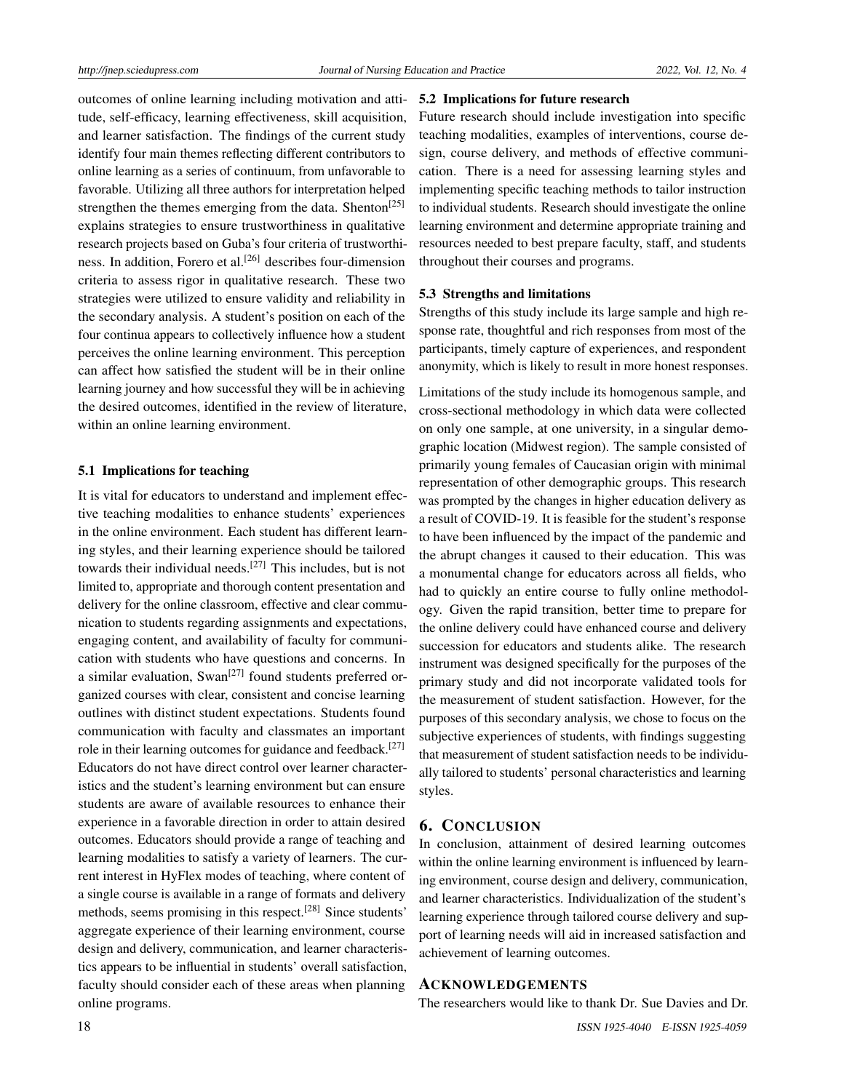outcomes of online learning including motivation and attitude, self-efficacy, learning effectiveness, skill acquisition, and learner satisfaction. The findings of the current study identify four main themes reflecting different contributors to online learning as a series of continuum, from unfavorable to favorable. Utilizing all three authors for interpretation helped strengthen the themes emerging from the data. Shenton<sup>[\[25\]](#page-8-0)</sup> explains strategies to ensure trustworthiness in qualitative research projects based on Guba's four criteria of trustworthi-ness. In addition, Forero et al.<sup>[\[26\]](#page-8-1)</sup> describes four-dimension criteria to assess rigor in qualitative research. These two strategies were utilized to ensure validity and reliability in the secondary analysis. A student's position on each of the four continua appears to collectively influence how a student perceives the online learning environment. This perception can affect how satisfied the student will be in their online learning journey and how successful they will be in achieving the desired outcomes, identified in the review of literature, within an online learning environment.

### 5.1 Implications for teaching

It is vital for educators to understand and implement effective teaching modalities to enhance students' experiences in the online environment. Each student has different learning styles, and their learning experience should be tailored towards their individual needs.[\[27\]](#page-8-2) This includes, but is not limited to, appropriate and thorough content presentation and delivery for the online classroom, effective and clear communication to students regarding assignments and expectations, engaging content, and availability of faculty for communication with students who have questions and concerns. In a similar evaluation, Swan<sup>[\[27\]](#page-8-2)</sup> found students preferred organized courses with clear, consistent and concise learning outlines with distinct student expectations. Students found communication with faculty and classmates an important role in their learning outcomes for guidance and feedback.<sup>[\[27\]](#page-8-2)</sup> Educators do not have direct control over learner characteristics and the student's learning environment but can ensure students are aware of available resources to enhance their experience in a favorable direction in order to attain desired outcomes. Educators should provide a range of teaching and learning modalities to satisfy a variety of learners. The current interest in HyFlex modes of teaching, where content of a single course is available in a range of formats and delivery methods, seems promising in this respect.<sup>[\[28\]](#page-8-3)</sup> Since students' aggregate experience of their learning environment, course design and delivery, communication, and learner characteristics appears to be influential in students' overall satisfaction, faculty should consider each of these areas when planning online programs.

### 5.2 Implications for future research

Future research should include investigation into specific teaching modalities, examples of interventions, course design, course delivery, and methods of effective communication. There is a need for assessing learning styles and implementing specific teaching methods to tailor instruction to individual students. Research should investigate the online learning environment and determine appropriate training and resources needed to best prepare faculty, staff, and students throughout their courses and programs.

### 5.3 Strengths and limitations

Strengths of this study include its large sample and high response rate, thoughtful and rich responses from most of the participants, timely capture of experiences, and respondent anonymity, which is likely to result in more honest responses.

Limitations of the study include its homogenous sample, and cross-sectional methodology in which data were collected on only one sample, at one university, in a singular demographic location (Midwest region). The sample consisted of primarily young females of Caucasian origin with minimal representation of other demographic groups. This research was prompted by the changes in higher education delivery as a result of COVID-19. It is feasible for the student's response to have been influenced by the impact of the pandemic and the abrupt changes it caused to their education. This was a monumental change for educators across all fields, who had to quickly an entire course to fully online methodology. Given the rapid transition, better time to prepare for the online delivery could have enhanced course and delivery succession for educators and students alike. The research instrument was designed specifically for the purposes of the primary study and did not incorporate validated tools for the measurement of student satisfaction. However, for the purposes of this secondary analysis, we chose to focus on the subjective experiences of students, with findings suggesting that measurement of student satisfaction needs to be individually tailored to students' personal characteristics and learning styles.

### 6. CONCLUSION

In conclusion, attainment of desired learning outcomes within the online learning environment is influenced by learning environment, course design and delivery, communication, and learner characteristics. Individualization of the student's learning experience through tailored course delivery and support of learning needs will aid in increased satisfaction and achievement of learning outcomes.

### ACKNOWLEDGEMENTS

The researchers would like to thank Dr. Sue Davies and Dr.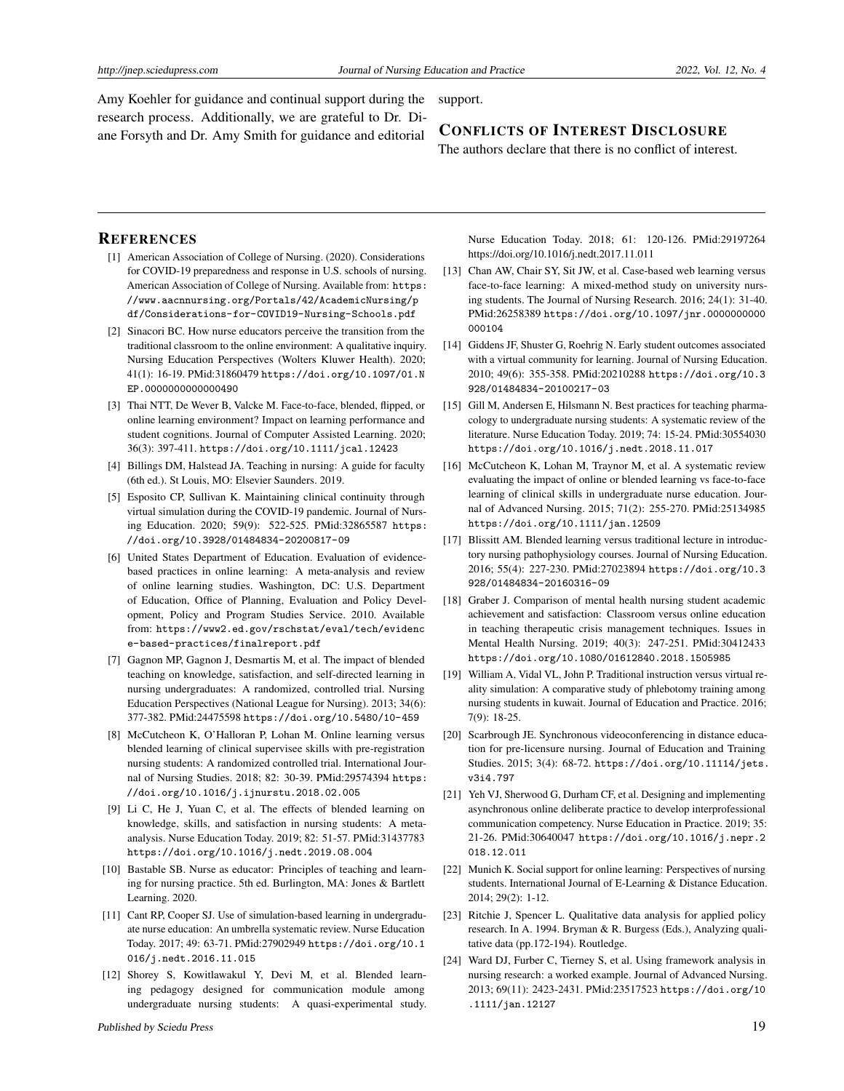Amy Koehler for guidance and continual support during the research process. Additionally, we are grateful to Dr. Diane Forsyth and Dr. Amy Smith for guidance and editorial

#### support.

# CONFLICTS OF INTEREST DISCLOSURE

The authors declare that there is no conflict of interest.

### **REFERENCES**

- <span id="page-7-0"></span>[1] American Association of College of Nursing. (2020). Considerations for COVID-19 preparedness and response in U.S. schools of nursing. American Association of College of Nursing. Available from: [https:](https://www.aacnnursing.org/Portals/42/AcademicNursing/pdf/Considerations-for-COVID19-Nursing-Schools.pdf) [//www.aacnnursing.org/Portals/42/AcademicNursing/p](https://www.aacnnursing.org/Portals/42/AcademicNursing/pdf/Considerations-for-COVID19-Nursing-Schools.pdf) [df/Considerations-for-COVID19-Nursing-Schools.pdf](https://www.aacnnursing.org/Portals/42/AcademicNursing/pdf/Considerations-for-COVID19-Nursing-Schools.pdf)
- <span id="page-7-1"></span>[2] Sinacori BC. How nurse educators perceive the transition from the traditional classroom to the online environment: A qualitative inquiry. Nursing Education Perspectives (Wolters Kluwer Health). 2020; 41(1): 16-19. PMid:31860479 [https://doi.org/10.1097/01.N](https://doi.org/10.1097/01.NEP.0000000000000490) [EP.0000000000000490](https://doi.org/10.1097/01.NEP.0000000000000490)
- <span id="page-7-2"></span>[3] Thai NTT, De Wever B, Valcke M. Face-to-face, blended, flipped, or online learning environment? Impact on learning performance and student cognitions. Journal of Computer Assisted Learning. 2020; 36(3): 397-411. <https://doi.org/10.1111/jcal.12423>
- <span id="page-7-3"></span>[4] Billings DM, Halstead JA. Teaching in nursing: A guide for faculty (6th ed.). St Louis, MO: Elsevier Saunders. 2019.
- <span id="page-7-4"></span>[5] Esposito CP, Sullivan K. Maintaining clinical continuity through virtual simulation during the COVID-19 pandemic. Journal of Nursing Education. 2020; 59(9): 522-525. PMid:32865587 [https:](https://doi.org/10.3928/01484834-20200817-09) [//doi.org/10.3928/01484834-20200817-09](https://doi.org/10.3928/01484834-20200817-09)
- <span id="page-7-5"></span>[6] United States Department of Education. Evaluation of evidencebased practices in online learning: A meta-analysis and review of online learning studies. Washington, DC: U.S. Department of Education, Office of Planning, Evaluation and Policy Development, Policy and Program Studies Service. 2010. Available from: [https://www2.ed.gov/rschstat/eval/tech/evidenc](https://www2.ed.gov/rschstat/eval/tech/evidence-based-practices/finalreport.pdf) [e-based-practices/finalreport.pdf](https://www2.ed.gov/rschstat/eval/tech/evidence-based-practices/finalreport.pdf)
- <span id="page-7-6"></span>[7] Gagnon MP, Gagnon J, Desmartis M, et al. The impact of blended teaching on knowledge, satisfaction, and self-directed learning in nursing undergraduates: A randomized, controlled trial. Nursing Education Perspectives (National League for Nursing). 2013; 34(6): 377-382. PMid:24475598 <https://doi.org/10.5480/10-459>
- <span id="page-7-7"></span>[8] McCutcheon K, O'Halloran P, Lohan M. Online learning versus blended learning of clinical supervisee skills with pre-registration nursing students: A randomized controlled trial. International Journal of Nursing Studies. 2018; 82: 30-39. PMid:29574394 [https:](https://doi.org/10.1016/j.ijnurstu.2018.02.005) [//doi.org/10.1016/j.ijnurstu.2018.02.005](https://doi.org/10.1016/j.ijnurstu.2018.02.005)
- <span id="page-7-8"></span>[9] Li C, He J, Yuan C, et al. The effects of blended learning on knowledge, skills, and satisfaction in nursing students: A metaanalysis. Nurse Education Today. 2019; 82: 51-57. PMid:31437783 <https://doi.org/10.1016/j.nedt.2019.08.004>
- <span id="page-7-9"></span>[10] Bastable SB. Nurse as educator: Principles of teaching and learning for nursing practice. 5th ed. Burlington, MA: Jones & Bartlett Learning. 2020.
- <span id="page-7-10"></span>[11] Cant RP, Cooper SJ. Use of simulation-based learning in undergraduate nurse education: An umbrella systematic review. Nurse Education Today. 2017; 49: 63-71. PMid:27902949 [https://doi.org/10.1](https://doi.org/10.1016/j.nedt.2016.11.015) [016/j.nedt.2016.11.015](https://doi.org/10.1016/j.nedt.2016.11.015)
- <span id="page-7-11"></span>[12] Shorey S, Kowitlawakul Y, Devi M, et al. Blended learning pedagogy designed for communication module among undergraduate nursing students: A quasi-experimental study.

Nurse Education Today. 2018; 61: 120-126. PMid:29197264 https://doi.org/10.1016/j.nedt.2017.11.011

- <span id="page-7-12"></span>[13] Chan AW, Chair SY, Sit JW, et al. Case-based web learning versus face-to-face learning: A mixed-method study on university nursing students. The Journal of Nursing Research. 2016; 24(1): 31-40. PMid:26258389 [https://doi.org/10.1097/jnr.0000000000](https://doi.org/10.1097/jnr.0000000000000104) [000104](https://doi.org/10.1097/jnr.0000000000000104)
- <span id="page-7-13"></span>[14] Giddens JF, Shuster G, Roehrig N. Early student outcomes associated with a virtual community for learning. Journal of Nursing Education. 2010; 49(6): 355-358. PMid:20210288 [https://doi.org/10.3](https://doi.org/10.3928/01484834-20100217-03) [928/01484834-20100217-03](https://doi.org/10.3928/01484834-20100217-03)
- <span id="page-7-14"></span>[15] Gill M, Andersen E, Hilsmann N. Best practices for teaching pharmacology to undergraduate nursing students: A systematic review of the literature. Nurse Education Today. 2019; 74: 15-24. PMid:30554030 <https://doi.org/10.1016/j.nedt.2018.11.017>
- <span id="page-7-15"></span>[16] McCutcheon K, Lohan M, Traynor M, et al. A systematic review evaluating the impact of online or blended learning vs face-to-face learning of clinical skills in undergraduate nurse education. Journal of Advanced Nursing. 2015; 71(2): 255-270. PMid:25134985 <https://doi.org/10.1111/jan.12509>
- <span id="page-7-16"></span>[17] Blissitt AM. Blended learning versus traditional lecture in introductory nursing pathophysiology courses. Journal of Nursing Education. 2016; 55(4): 227-230. PMid:27023894 [https://doi.org/10.3](https://doi.org/10.3928/01484834-20160316-09) [928/01484834-20160316-09](https://doi.org/10.3928/01484834-20160316-09)
- <span id="page-7-17"></span>[18] Graber J. Comparison of mental health nursing student academic achievement and satisfaction: Classroom versus online education in teaching therapeutic crisis management techniques. Issues in Mental Health Nursing. 2019; 40(3): 247-251. PMid:30412433 <https://doi.org/10.1080/01612840.2018.1505985>
- <span id="page-7-18"></span>[19] William A, Vidal VL, John P. Traditional instruction versus virtual reality simulation: A comparative study of phlebotomy training among nursing students in kuwait. Journal of Education and Practice. 2016; 7(9): 18-25.
- <span id="page-7-19"></span>[20] Scarbrough JE. Synchronous videoconferencing in distance education for pre-licensure nursing. Journal of Education and Training Studies. 2015; 3(4): 68-72. [https://doi.org/10.11114/jets.](https://doi.org/10.11114/jets.v3i4.797) [v3i4.797](https://doi.org/10.11114/jets.v3i4.797)
- <span id="page-7-20"></span>[21] Yeh VJ, Sherwood G, Durham CF, et al. Designing and implementing asynchronous online deliberate practice to develop interprofessional communication competency. Nurse Education in Practice. 2019; 35: 21-26. PMid:30640047 [https://doi.org/10.1016/j.nepr.2](https://doi.org/10.1016/j.nepr.2018.12.011) [018.12.011](https://doi.org/10.1016/j.nepr.2018.12.011)
- <span id="page-7-21"></span>[22] Munich K. Social support for online learning: Perspectives of nursing students. International Journal of E-Learning & Distance Education. 2014; 29(2): 1-12.
- <span id="page-7-22"></span>[23] Ritchie J, Spencer L. Qualitative data analysis for applied policy research. In A. 1994. Bryman & R. Burgess (Eds.), Analyzing qualitative data (pp.172-194). Routledge.
- <span id="page-7-23"></span>[24] Ward DJ, Furber C, Tierney S, et al. Using framework analysis in nursing research: a worked example. Journal of Advanced Nursing. 2013; 69(11): 2423-2431. PMid:23517523 [https://doi.org/10](https://doi.org/10.1111/jan.12127) [.1111/jan.12127](https://doi.org/10.1111/jan.12127)